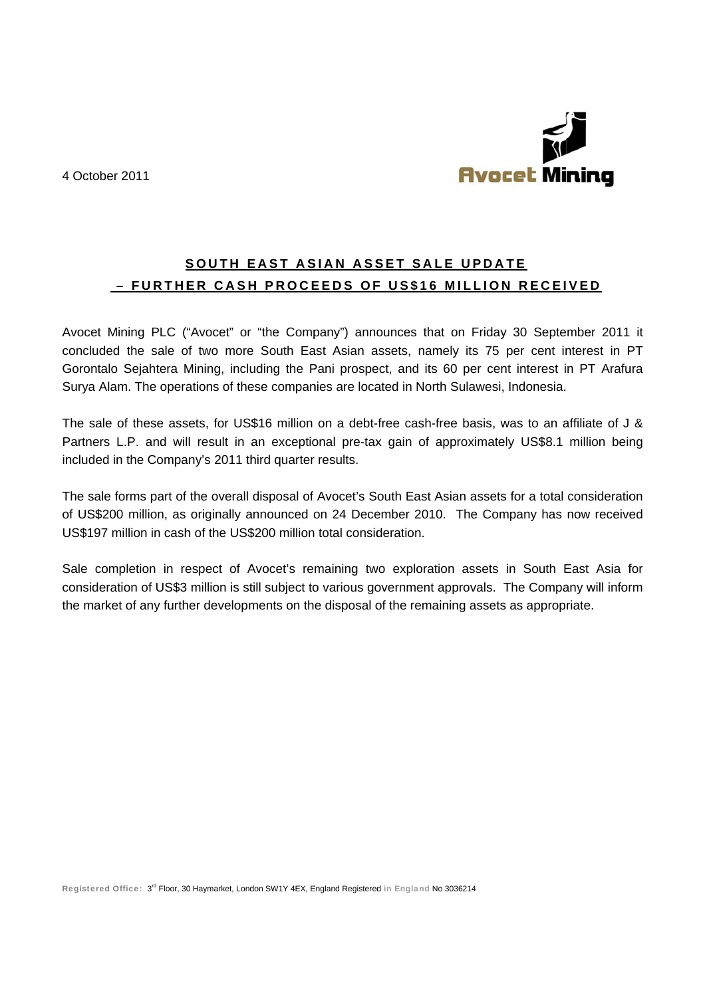4 October 2011



## SOUTH EAST ASIAN ASSET SALE UPDATE - FURTHER CASH PROCEEDS OF US\$16 MILLION RECEIVED

Avocet Mining PLC ("Avocet" or "the Company") announces that on Friday 30 September 2011 it concluded the sale of two more South East Asian assets, namely its 75 per cent interest in PT Gorontalo Sejahtera Mining, including the Pani prospect, and its 60 per cent interest in PT Arafura Surya Alam. The operations of these companies are located in North Sulawesi, Indonesia.

The sale of these assets, for US\$16 million on a debt-free cash-free basis, was to an affiliate of J & Partners L.P. and will result in an exceptional pre-tax gain of approximately US\$8.1 million being included in the Company's 2011 third quarter results.

The sale forms part of the overall disposal of Avocet's South East Asian assets for a total consideration of US\$200 million, as originally announced on 24 December 2010. The Company has now received US\$197 million in cash of the US\$200 million total consideration.

Sale completion in respect of Avocet's remaining two exploration assets in South East Asia for consideration of US\$3 million is still subject to various government approvals. The Company will inform the market of any further developments on the disposal of the remaining assets as appropriate.